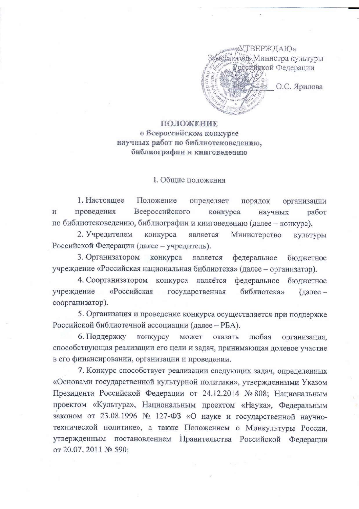

## ПОЛОЖЕНИЕ о Всероссийском конкурсе научных работ по библиотековедению. библиографии и книговедению

## I. Общие положения

1. Настоящее Положение определяет порядок организации Всероссийского проведения  $\overline{\mathbf{M}}$ конкурса работ научных по библиотековедению, библиографии и книговедению (далее - конкурс).

2. Учредителем конкурса является Министерство КУЛЬТУРЫ Российской Федерации (далее - учредитель).

3. Организатором конкурса является федеральное бюджетное учреждение «Российская национальная библиотека» (далее - организатор).

4. Соорганизатором конкурса является федеральное бюджетное учреждение «Российская библиотека» государственная (далее соорганизатор).

5. Организация и проведение конкурса осуществляется при поддержке Российской библиотечной ассоциации (далее - РБА).

6. Поддержку конкурсу может любая оказать организация, способствующая реализации его цели и задач, принимающая долевое участие в его финансировании, организации и проведении.

7. Конкурс способствует реализации следующих задач, определенных «Основами государственной культурной политики», утвержденными Указом Президента Российской Федерации от 24.12.2014 № 808; Национальным проектом «Культура», Национальным проектом «Наука», Федеральным законом от 23.08.1996 № 127-ФЗ «О науке и государственной научнотехнической политике», а также Положением о Минкультуры России, утвержденным постановлением Правительства Российской Федерации от 20.07. 2011 № 590: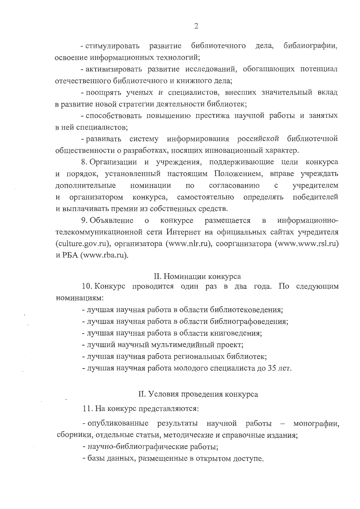библиотечного дела, библиографии, - стимулировать развитие освоение информационных технологий;

- активизировать развитие исследований, обогащающих потенциал отечественного библиотечного и книжного дела;

- поощрять ученых и специалистов, внесших значительный вклад в развитие новой стратегии деятельности библиотек;

- способствовать повышению престижа научной работы и занятых в ней специалистов;

- развивать систему информирования российской библиотечной общественности о разработках, носящих инновационный характер.

8. Организации и учреждения, поддерживающие цели конкурса и порядок, установленный настоящим Положением, вправе учреждать дополнительные согласованию учредителем номинации  $\Pi{\rm O}$  $\mathbf c$ победителей самостоятельно определять И организатором конкурса, и выплачивать премии из собственных средств.

9. Объявление информационно- $\mathbf{o}$ конкурсе размещается  $\, {\bf B}$ телекоммуникационной сети Интернет на официальных сайтах учредителя (culture.gov.ru), организатора (www.nlr.ru), соорганизатора (www.www.rsl.ru) и PБА (www.rba.ru).

## II. Номинации конкурса

10. Конкурс проводится один раз в два года. По следующим номинациям:

- лучшая научная работа в области библиотековедения;

- лучшая научная работа в области библиографоведения;

- лучшая научная работа в области книговедения;

- лучший научный мультимедийный проект;

- лучшая научная работа региональных библиотек;

- лучшая научная работа молодого специалиста до 35 лет.

## II. Условия проведения конкурса

11. На конкурс представляются:

- опубликованные результаты научной работы - монографии, сборники, отдельные статьи, методические и справочные издания;

- научно-библиографические работы;

- базы данных, размещенные в открытом доступе.

 $\overline{2}$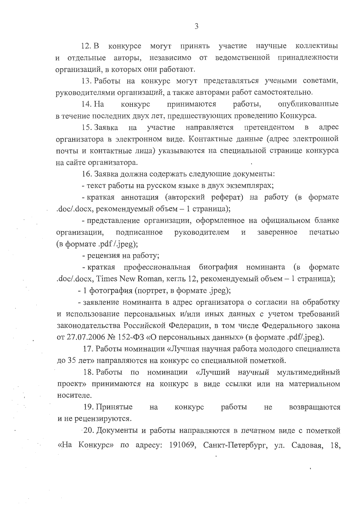участие научные 12. В конкурсе могут принять коллективы и отдельные авторы, независимо от ведомственной принадлежности организаций, в которых они работают.

13. Работы на конкурс могут представляться учеными советами, руководителями организаций, а также авторами работ самостоятельно.

работы, опубликованные конкурс принимаются 14. Ha в течение последних двух лет, предшествующих проведению Конкурса.

направляется претендентом  $\mathbf{B}$ адрес 15. Заявка на участие организатора в электронном виде. Контактные данные (адрес электронной почты и контактные лица) указываются на специальной странице конкурса на сайте организатора.

16. Заявка должна содержать следующие документы:

- текст работы на русском языке в двух экземплярах;

- краткая аннотация (авторский реферат) на работу (в формате .doc/.docx, рекомендуемый объем - 1 страница);

- представление организации, оформленное на официальном бланке организации, подписанное руководителем  $\,$   $\,$  M заверенное печатью (в формате .pdf /.jpeg);

- рецензия на работу;

- краткая профессиональная биография номинанта (в формате  $doc/docx$ , Times New Roman, кегль 12, рекомендуемый объем - 1 страница);

 $-1$  фотография (портрет, в формате .jpeg);

- заявление номинанта в адрес организатора о согласии на обработку и использование персональных и/или иных данных с учетом требований законодательства Российской Федерации, в том числе Федерального закона от 27.07.2006 № 152-ФЗ «О персональных данных» (в формате .pdf/.jpeg).

17. Работы номинации «Лучшая научная работа молодого специалиста до 35 лет» направляются на конкурс со специальной пометкой.

18. Работы по номинации «Лучший научный мультимедийный проект» принимаются на конкурс в виде ссылки или на материальном носителе.

19. Принятые конкурс работы возвращаются на He и не рецензируются.

20. Документы и работы направляются в печатном виде с пометкой «На Конкурс» по адресу: 191069, Санкт-Петербург, ул. Садовая, 18,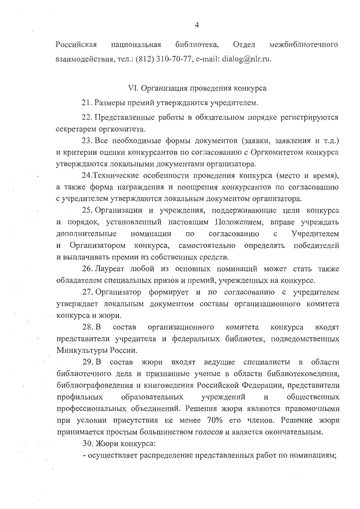Российская библиотека, Отдел межбиблиотечного национальная взаимодействия, тел.:  $(812)$  310-70-77, e-mail: dialog@nlr.ru.

VI. Организация проведения конкурса

21. Размеры премий утверждаются учредителем.

22. Представленные работы в обязательном порядке регистрируются секретарем оргкомитета.

23. Все необходимые формы документов (заявки, заявления и т.д.) и критерии оценки конкурсантов по согласованию с Оргкомитетом конкурса утверждаются локальными документами организатора.

24. Технические особенности проведения конкурса (место и время), а также форма награждения и поощрения конкурсантов по согласованию с учредителем утверждаются локальным документом организатора.

25. Организации и учреждения, поддерживающие цели конкурса и порядок, установленный настоящим Положением, вправе учреждать  $\mathbf{c}$ Учредителем дополнительные номинации  $\Pi$ O согласованию самостоятельно определять победителей И Организатором конкурса, и выплачивать премии из собственных средств.

26. Лауреат любой из основных номинаций может стать также обладателем специальных призов и премий, учрежденных на конкурсе.

27. Организатор формирует и по согласованию с учредителем утверждает локальным документом составы организационного комитета конкурса и жюри.

28. B состав организационного комитета конкурса входят представители учредителя и федеральных библиотек, подведомственных Минкультуры России.

29. В состав жюри входят ведущие специалисты в области библиотечного дела и признанные ученые в области библиотековедения, библиографоведения и книговедения Российской Федерации, представители учреждений общественных профильных образовательных  $\overline{M}$ профессиональных объединений. Решения жюри являются правомочными при условии присутствия не менее 70% его членов. Решение жкри принимается простым большинством голосов и является окончательным.

30. Жюри конкурса:

- осуществляет распределение представленных работ по номинациям;